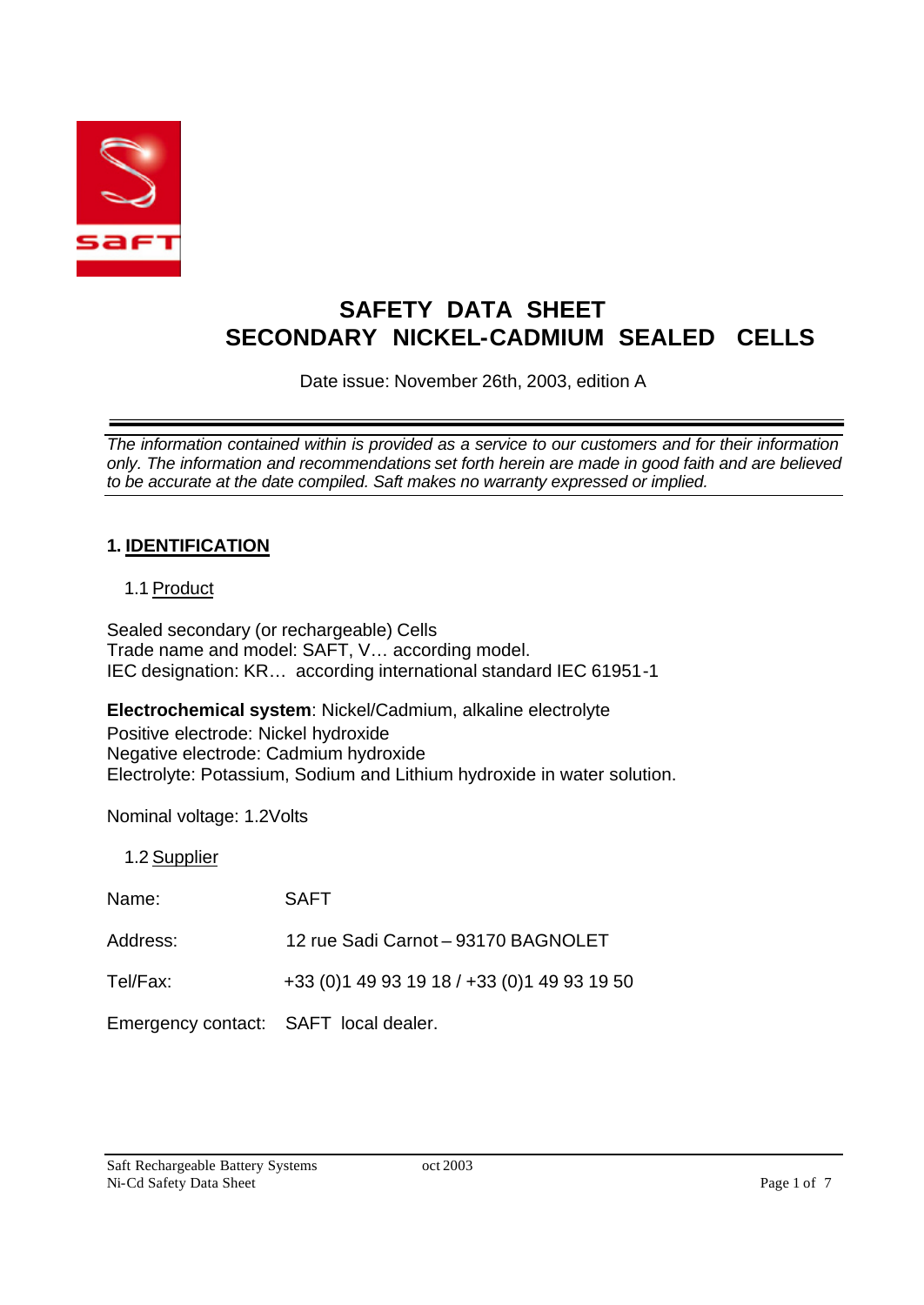

# **SAFETY DATA SHEET SECONDARY NICKEL-CADMIUM SEALED CELLS**

Date issue: November 26th, 2003, edition A

*The information contained within is provided as a service to our customers and for their information only. The information and recommendations set forth herein are made in good faith and are believed to be accurate at the date compiled. Saft makes no warranty expressed or implied.*

### **1. IDENTIFICATION**

### 1.1 Product

Sealed secondary (or rechargeable) Cells Trade name and model: SAFT, V… according model. IEC designation: KR… according international standard IEC 61951-1

**Electrochemical system**: Nickel/Cadmium, alkaline electrolyte Positive electrode: Nickel hydroxide Negative electrode: Cadmium hydroxide Electrolyte: Potassium, Sodium and Lithium hydroxide in water solution.

Nominal voltage: 1.2Volts

1.2 Supplier

Name: SAFT

Address: 12 rue Sadi Carnot – 93170 BAGNOLET

Tel/Fax: +33 (0)1 49 93 19 18 / +33 (0)1 49 93 19 50

Emergency contact: SAFT local dealer.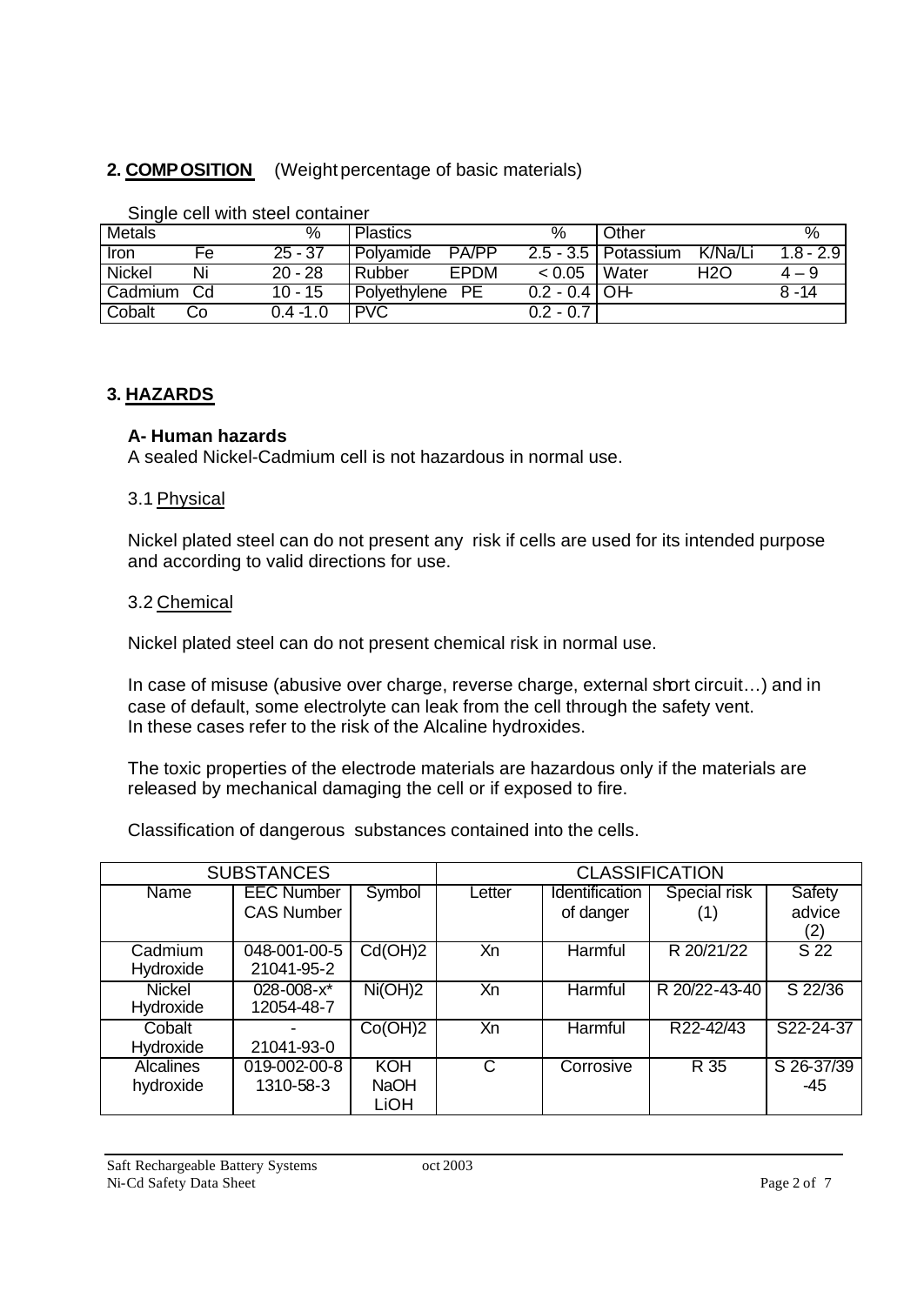### **2. COMPOSITION** (Weight percentage of basic materials)

| <b>Metals</b> |    | %         | <b>Plastics</b>             | %                                    | Other                              |           |
|---------------|----|-----------|-----------------------------|--------------------------------------|------------------------------------|-----------|
| <b>Tron</b>   | Fе | $25 - 37$ | <b>PA/PP</b><br>l Polvamide |                                      | K/Na/Li<br>$2.5 - 3.5$   Potassium | 1.8 - 2.9 |
| <b>Nickel</b> | Ni | $20 - 28$ | EPDM<br><b>Rubber</b>       | < 0.05                               | Water<br>H2O                       | $4 - 9$   |
| Cadmium       | Cd | $10 - 15$ | PE<br>Polyethylene          | $0.2 - 0.\overline{4}\overline{)OH}$ |                                    | $8 - 14$  |
| Cobalt        | Co | 0.4 -1.0  | <b>PVC</b>                  | $0.2 - 0.7$                          |                                    |           |

Single cell with steel container

#### **3. HAZARDS**

#### **A- Human hazards**

A sealed Nickel-Cadmium cell is not hazardous in normal use.

#### 3.1 Physical

Nickel plated steel can do not present any risk if cells are used for its intended purpose and according to valid directions for use.

#### 3.2 Chemical

Nickel plated steel can do not present chemical risk in normal use.

In case of misuse (abusive over charge, reverse charge, external short circuit...) and in case of default, some electrolyte can leak from the cell through the safety vent. In these cases refer to the risk of the Alcaline hydroxides.

The toxic properties of the electrode materials are hazardous only if the materials are released by mechanical damaging the cell or if exposed to fire.

Classification of dangerous substances contained into the cells.

| <b>SUBSTANCES</b> |                   |                             | <b>CLASSIFICATION</b> |                |               |                   |
|-------------------|-------------------|-----------------------------|-----------------------|----------------|---------------|-------------------|
| Name              | <b>EEC Number</b> | Symbol                      | Letter                | Identification | Special risk  | Safety            |
|                   | <b>CAS Number</b> |                             |                       | of danger      | (1)           | advice            |
|                   |                   |                             |                       |                |               | (2)               |
| Cadmium           | 048-001-00-5      | Cd(OH)2                     | Xn                    | Harmful        | R 20/21/22    | $\overline{S}$ 22 |
| Hydroxide         | 21041-95-2        |                             |                       |                |               |                   |
| <b>Nickel</b>     | 028-008-x*        | $\overline{\text{Ni(OH)}2}$ | Xn                    | Harmful        | R 20/22-43-40 | $S$ 22/36         |
| Hydroxide         | 12054-48-7        |                             |                       |                |               |                   |
| Cobalt            |                   | Co(OH)2                     | Xn                    | Harmful        | R22-42/43     | S22-24-37         |
| Hydroxide         | 21041-93-0        |                             |                       |                |               |                   |
| <b>Alcalines</b>  | 019-002-00-8      | KOH                         | $\mathsf{C}$          | Corrosive      | R 35          | S 26-37/39        |
| hydroxide         | 1310-58-3         | <b>NaOH</b>                 |                       |                |               | -45               |
|                   |                   | <b>LiOH</b>                 |                       |                |               |                   |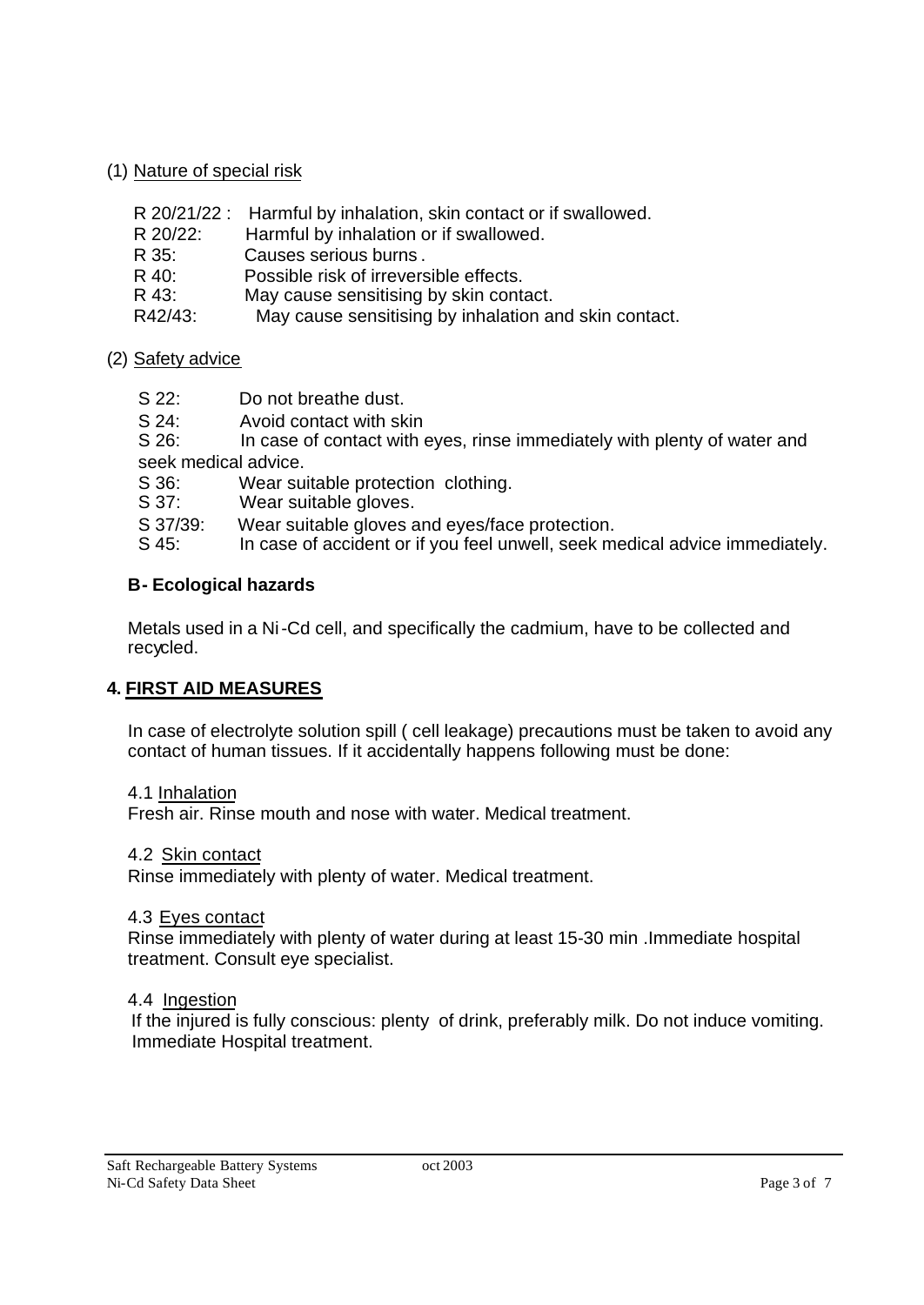### (1) Nature of special risk

|  | R 20/21/22: Harmful by inhalation, skin contact or if swallowed. |
|--|------------------------------------------------------------------|
|--|------------------------------------------------------------------|

- R 20/22: Harmful by inhalation or if swallowed.
- R 35: Causes serious burns .
- R 40: Possible risk of irreversible effects.
- R 43: May cause sensitising by skin contact.
- R42/43: May cause sensitising by inhalation and skin contact.

### (2) Safety advice

- S 22: Do not breathe dust.
- S 24: Avoid contact with skin

S 26: In case of contact with eyes, rinse immediately with plenty of water and seek medical advice.

S 36: Wear suitable protection clothing.

S 37: Wear suitable gloves.

S 37/39: Wear suitable gloves and eyes/face protection.

S 45: In case of accident or if you feel unwell, seek medical advice immediately.

### **B- Ecological hazards**

Metals used in a Ni-Cd cell, and specifically the cadmium, have to be collected and recycled.

### **4. FIRST AID MEASURES**

In case of electrolyte solution spill ( cell leakage) precautions must be taken to avoid any contact of human tissues. If it accidentally happens following must be done:

#### 4.1 Inhalation

Fresh air. Rinse mouth and nose with water. Medical treatment.

#### 4.2 Skin contact

Rinse immediately with plenty of water. Medical treatment.

#### 4.3 Eyes contact

Rinse immediately with plenty of water during at least 15-30 min .Immediate hospital treatment. Consult eye specialist.

#### 4.4 Ingestion

 If the injured is fully conscious: plenty of drink, preferably milk. Do not induce vomiting. Immediate Hospital treatment.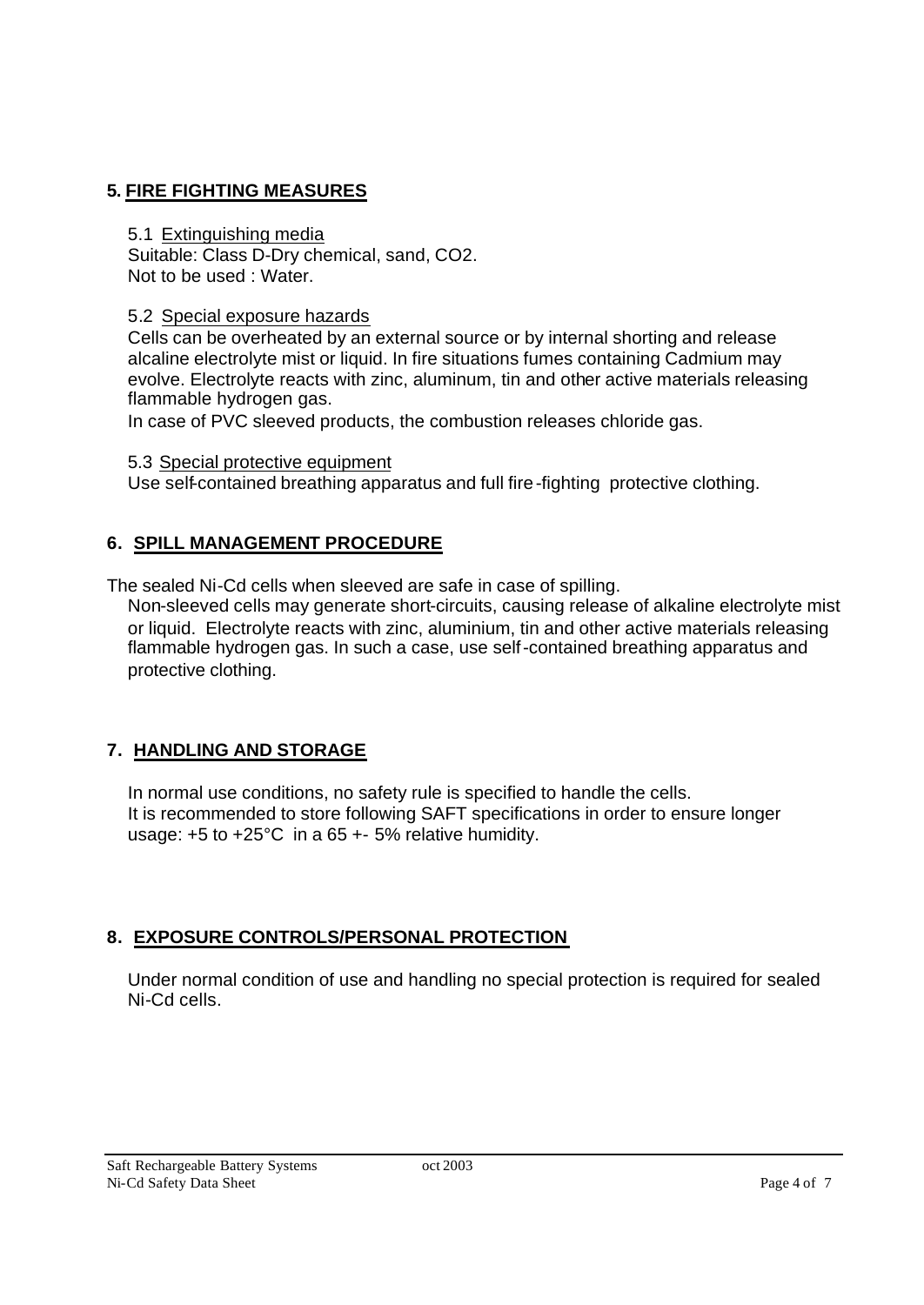### **5. FIRE FIGHTING MEASURES**

#### 5.1 Extinguishing media

Suitable: Class D-Dry chemical, sand, CO2. Not to be used : Water.

### 5.2 Special exposure hazards

Cells can be overheated by an external source or by internal shorting and release alcaline electrolyte mist or liquid. In fire situations fumes containing Cadmium may evolve. Electrolyte reacts with zinc, aluminum, tin and other active materials releasing flammable hydrogen gas.

In case of PVC sleeved products, the combustion releases chloride gas.

### 5.3 Special protective equipment

Use self-contained breathing apparatus and full fire-fighting protective clothing.

### **6. SPILL MANAGEMENT PROCEDURE**

The sealed Ni-Cd cells when sleeved are safe in case of spilling.

Non-sleeved cells may generate short-circuits, causing release of alkaline electrolyte mist or liquid. Electrolyte reacts with zinc, aluminium, tin and other active materials releasing flammable hydrogen gas. In such a case, use self-contained breathing apparatus and protective clothing.

# **7. HANDLING AND STORAGE**

In normal use conditions, no safety rule is specified to handle the cells. It is recommended to store following SAFT specifications in order to ensure longer usage: +5 to +25°C in a 65 +- 5% relative humidity.

# **8. EXPOSURE CONTROLS/PERSONAL PROTECTION**

Under normal condition of use and handling no special protection is required for sealed Ni-Cd cells.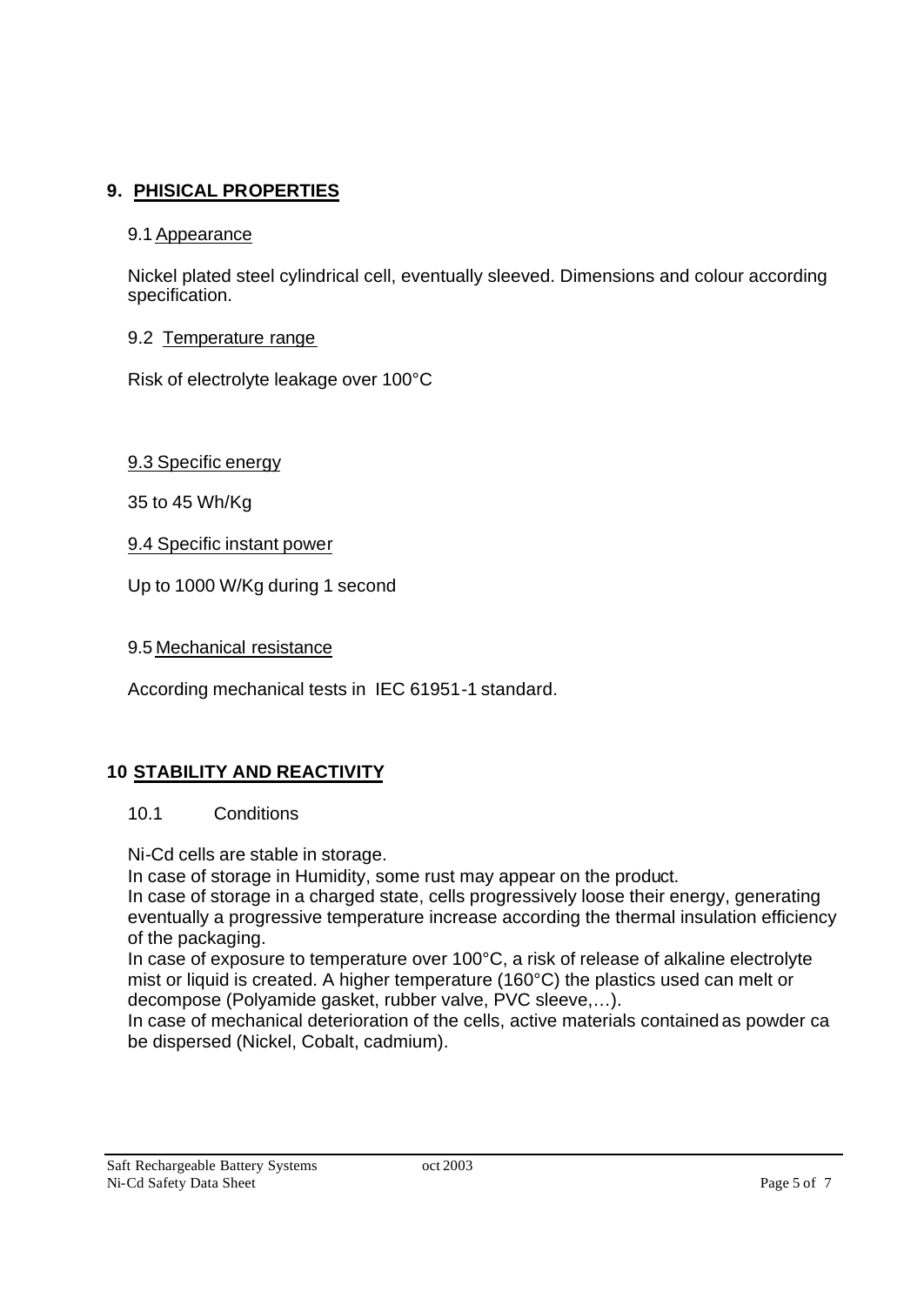## **9. PHISICAL PROPERTIES**

#### 9.1 Appearance

Nickel plated steel cylindrical cell, eventually sleeved. Dimensions and colour according specification.

#### 9.2 Temperature range

Risk of electrolyte leakage over 100°C

9.3 Specific energy

35 to 45 Wh/Kg

9.4 Specific instant power

Up to 1000 W/Kg during 1 second

9.5 Mechanical resistance

According mechanical tests in IEC 61951-1 standard.

### **10 STABILITY AND REACTIVITY**

#### 10.1 Conditions

Ni-Cd cells are stable in storage.

In case of storage in Humidity, some rust may appear on the product.

In case of storage in a charged state, cells progressively loose their energy, generating eventually a progressive temperature increase according the thermal insulation efficiency of the packaging.

In case of exposure to temperature over 100°C, a risk of release of alkaline electrolyte mist or liquid is created. A higher temperature (160°C) the plastics used can melt or decompose (Polyamide gasket, rubber valve, PVC sleeve,…).

In case of mechanical deterioration of the cells, active materials contained as powder ca be dispersed (Nickel, Cobalt, cadmium).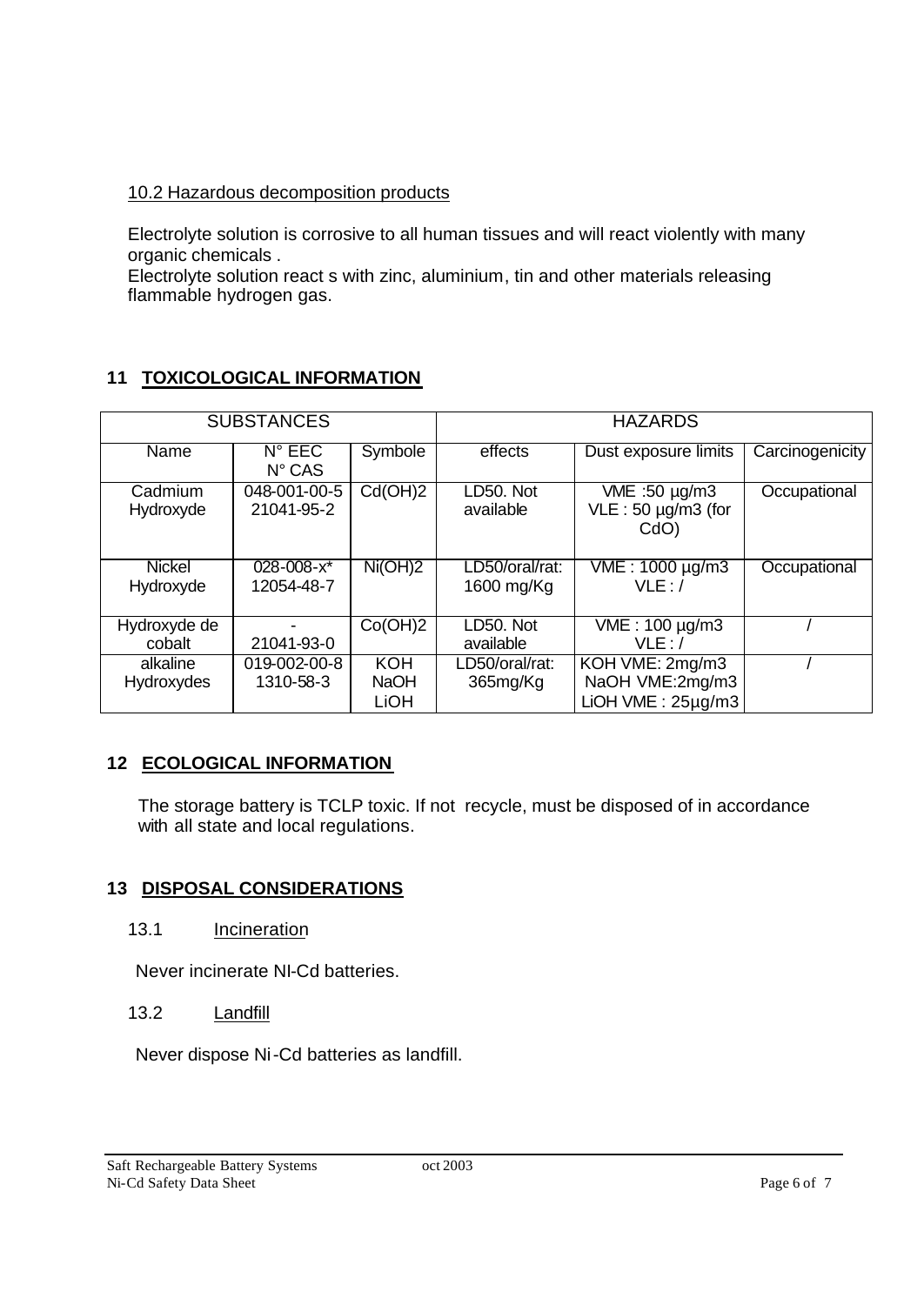### 10.2 Hazardous decomposition products

Electrolyte solution is corrosive to all human tissues and will react violently with many organic chemicals .

Electrolyte solution react s with zinc, aluminium, tin and other materials releasing flammable hydrogen gas.

### **11 TOXICOLOGICAL INFORMATION**

|              | <b>SUBSTANCES</b> |             | <b>HAZARDS</b> |                           |                 |  |
|--------------|-------------------|-------------|----------------|---------------------------|-----------------|--|
|              |                   |             |                |                           |                 |  |
| Name         | $N^{\circ}$ EEC   | Symbole     | effects        | Dust exposure limits      | Carcinogenicity |  |
|              | $N^{\circ}$ CAS   |             |                |                           |                 |  |
| Cadmium      | 048-001-00-5      | Cd(OH)2     | LD50. Not      | VME :50 µg/m3             | Occupational    |  |
| Hydroxyde    | 21041-95-2        |             | available      | $VLE: 50 \mu g/m3$ (for   |                 |  |
|              |                   |             |                | CdO)                      |                 |  |
|              |                   |             |                |                           |                 |  |
| Nickel       | $028 - 008 - x^*$ | Ni(OH)2     | LD50/oral/rat: | VME: 1000 µg/m3           | Occupational    |  |
| Hydroxyde    | 12054-48-7        |             | 1600 mg/Kg     | VLE:                      |                 |  |
|              |                   |             |                |                           |                 |  |
| Hydroxyde de |                   | Co(OH)2     | LD50. Not      | VME: 100 µg/m3            |                 |  |
| cobalt       | 21041-93-0        |             | available      | VLE: /                    |                 |  |
| alkaline     | 019-002-00-8      | <b>KOH</b>  | LD50/oral/rat: | KOH VME: 2mg/m3           |                 |  |
| Hydroxydes   | 1310-58-3         | <b>NaOH</b> | 365mg/Kg       | NaOH VME:2mg/m3           |                 |  |
|              |                   | <b>LiOH</b> |                | $LiOH$ VME : $25\mu$ g/m3 |                 |  |

### **12 ECOLOGICAL INFORMATION**

The storage battery is TCLP toxic. If not recycle, must be disposed of in accordance with all state and local regulations.

### **13 DISPOSAL CONSIDERATIONS**

13.1 Incineration

Never incinerate NI-Cd batteries.

### 13.2 Landfill

Never dispose Ni-Cd batteries as landfill.